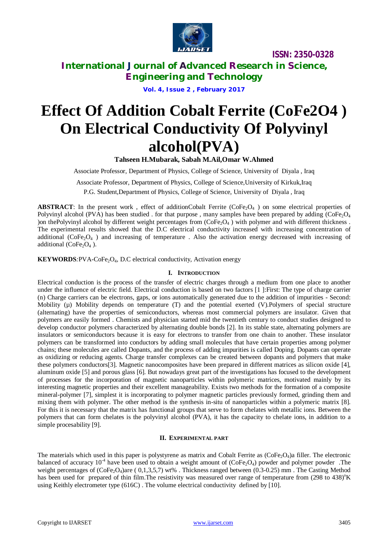

**ISSN: 2350-0328**

**International Journal of Advanced Research in Science, Engineering and Technology**

**Vol. 4, Issue 2 , February 2017**

# **Effect Of Addition Cobalt Ferrite (CoFe2O4 ) On Electrical Conductivity Of Polyvinyl alcohol(PVA)**

**Tahseen H.Mubarak, Sabah M.Ail,Omar W.Ahmed**

Associate Professor, Department of Physics, College of Science, University of Diyala , Iraq

Associate Professor, Department of Physics, College of Science,University of Kirkuk,Iraq P.G. Student,Department of Physics, College of Science, University of Diyala , Iraq

**ABSTRACT**: In the present work, effect of additionCobalt Ferrite (CoFe<sub>2</sub>O<sub>4</sub>) on some electrical properties of Polyvinyl alcohol (PVA) has been studied . for that purpose, many samples have been prepared by adding ( $\text{CoFe}_2\text{O}_4$ ) )on thePolyvinyl alcohol by different weight percentages from  $(CoFe<sub>2</sub>O<sub>4</sub>)$  with polymer and with different thickness. The experimental results showed that the D.C electrical conductivity increased with increasing concentration of additional ( $\text{CoFe}_2\text{O}_4$ ) and increasing of temperature. Also the activation energy decreased with increasing of additional ( $CoFe<sub>2</sub>O<sub>4</sub>$ ).

**KEYWORDS**: PVA-CoFe<sub>2</sub>O<sub>4</sub>, D.C electrical conductivity, Activation energy

### **I. INTRODUCTION**

Electrical conduction is the process of the transfer of electric charges through a medium from one place to another under the influence of electric field. Electrical conduction is based on two factors [1 ]:First: The type of charge carrier (n) Charge carriers can be electrons, gaps, or ions automatically generated due to the addition of impurities - Second: Mobility  $(\mu)$  Mobility depends on temperature (T) and the potential exerted (V). Polymers of special structure (alternating) have the properties of semiconductors, whereas most commercial polymers are insulator. Given that polymers are easily formed . Chemists and physician started mid the twentieth century to conduct studies designed to develop conductor polymers characterized by alternating double bonds [2]. In its stable state, alternating polymers are insulators or semiconductors because it is easy for electrons to transfer from one chain to another. These insulator polymers can be transformed into conductors by adding small molecules that have certain properties among polymer chains; these molecules are called Dopants, and the process of adding impurities is called Doping. Dopants can operate as oxidizing or reducing agents. Charge transfer complexes can be created between dopants and polymers that make these polymers conductors[3]. Magnetic nanocomposites have been prepared in different matrices as silicon oxide [4], aluminum oxide [5] and porous glass [6]. But nowadays great part of the investigations has focused to the development of processes for the incorporation of magnetic nanoparticles within polymeric matrices, motivated mainly by its interesting magnetic properties and their excellent manageability. Exists two methods for the formation of a composite mineral-polymer [7], simplest it is incorporating to polymer magnetic particles previously formed, grinding them and mixing them with polymer. The other method is the synthesis in-situ of nanoparticles within a polymeric matrix [8]. For this it is necessary that the matrix has functional groups that serve to form chelates with metallic ions. Between the polymers that can form chelates is the polyvinyl alcohol (PVA), it has the capacity to chelate ions, in addition to a simple procesability [9].

### **II. EXPERIMENTAL PART**

The materials which used in this paper is polystyrene as matrix and Cobalt Ferrite as  $(CoFe<sub>2</sub>O<sub>4</sub>)$ a filler. The electronic balanced of accuracy 10<sup>-4</sup> have been used to obtain a weight amount of (CoFe<sub>2</sub>O<sub>4</sub>) powder and polymer powder. The weight percentages of (CoFe<sub>2</sub>O<sub>4</sub>)are (0,1,3,5,7) wt%. Thickness ranged between (0.3-0.25) mm. The Casting Method has been used for prepared of thin film. The resistivity was measured over range of temperature from (298 to 438)<sup>o</sup>K using Keithly electrometer type (616C) . The volume electrical conductivity defined by [10].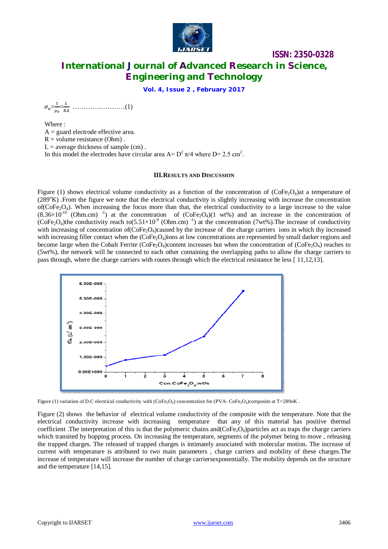

# **ISSN: 2350-0328 International Journal of Advanced Research in Science, Engineering and Technology**

**Vol. 4, Issue 2 , February 2017**

 $\sigma_v =$  $\mathbf 1$  $\rho_v$  $=\frac{L}{R}$ ோ ……………………(1)

Where :  $A =$  guard electrode effective area.  $R =$  volume resistance (Ohm).  $L =$  average thickness of sample (cm). In this model the electrodes have circular area  $A = D^2 \pi/4$  where  $D = 2.5$  cm<sup>2</sup>.

#### **III.RESULTS AND DISCUSSION**

Figure (1) shows electrical volume conductivity as a function of the concentration of ( $\text{CoFe-O}_4$ )at a temperature of (289°K) .From the figure we note that the electrical conductivity is slightly increasing with increase the concentration of( $CoFe<sub>2</sub>$ ). When increasing the focus more than that, the electrical conductivity to a large increase to the value  $(8.36\times10^{-10}$  (Ohm.cm)<sup>-1</sup>) at the concentration of (CoFe<sub>2</sub>O<sub>4</sub>)(1 wt%) and an increase in the concentration of (CoFe<sub>2</sub>O<sub>4</sub>)the conductivity reach to(5.51×10<sup>-9</sup> (Ohm.cm)<sup>-1</sup>) at the concentration (7wt%). The increase of conductivity with increasing of concentration of  $(CoFe<sub>2</sub>O<sub>4</sub>)$ caused by the increase of the charge carriers ions in which thy increased with increasing filler contact when the (CoFe<sub>2</sub>O<sub>4</sub>)ions at low concentrations are represented by small darker regions and become large when the Cobalt Ferrite (CoFe<sub>2</sub>O<sub>4</sub>)content increases but when the concentration of (CoFe<sub>2</sub>O<sub>4</sub>) reaches to (5wt%), the network will be connected to each other containing the overlapping paths to allow the charge carriers to pass through, where the charge carriers with routes through which the electrical resistance be less [ 11,12,13].



Figure (1) variation of D.C electrical conductivity with  $(CoFe<sub>2</sub>O<sub>4</sub>)$  concentration for (PVA-CoFe<sub>2</sub>O<sub>4</sub>)composite at T=289oK.

Figure (2) shows the behavior of electrical volume conductivity of the composite with the temperature. Note that the electrical conductivity increase with increasing temperature that any of this material has positive thermal coefficient. The interpretation of this is that the polymeric chains and  $(CoFe<sub>2</sub>O<sub>4</sub>)$  particles act as traps the charge carriers which transited by hopping process. On increasing the temperature, segments of the polymer being to move, releasing the trapped charges. The released of trapped charges is intimately associated with molecular motion. The increase of current with temperature is attributed to two main parameters , charge carriers and mobility of these charges.The increase of temperature will increase the number of charge carriersexponentially. The mobility depends on the structure and the temperature [14,15].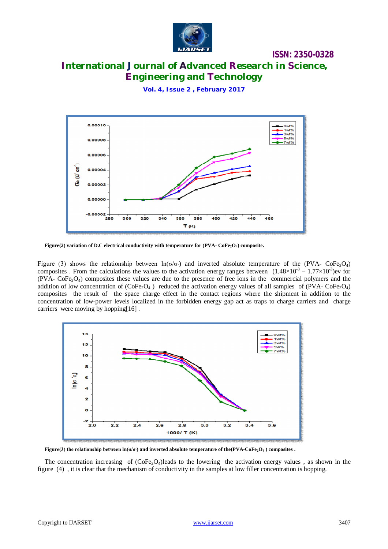

### **ISSN: 2350-0328**

# **International Journal of Advanced Research in Science, Engineering and Technology**

**Vol. 4, Issue 2 , February 2017**



**Figure(2) variation of D.C electrical conductivity with temperature for (PVA- CoFe2O4) composite.**

Figure (3) shows the relationship between  $ln(\sigma/\sigma)$  and inverted absolute temperature of the (PVA- CoFe<sub>2</sub>O<sub>4</sub>) composites. From the calculations the values to the activation energy ranges between  $(1.48 \times 10^{-3} - 1.77 \times 10^{-3})$ ev for  $(PVA - CoFe<sub>2</sub>O<sub>4</sub>)$  composites these values are due to the presence of free ions in the commercial polymers and the addition of low concentration of  $(CoFe<sub>2</sub>O<sub>4</sub>)$  reduced the activation energy values of all samples of (PVA-  $CoFe<sub>2</sub>O<sub>4</sub>$ ) composites the result of the space charge effect in the contact regions where the shipment in addition to the concentration of low-power levels localized in the forbidden energy gap act as traps to charge carriers and charge carriers were moving by hopping[16] .



Figure(3) the relationship between  $\ln(\sigma/\sigma)$  and inverted absolute temperature of the (PVA-CoFe<sub>2</sub>O<sub>4</sub>) composites.

The concentration increasing of  $(CoFe<sub>2</sub>O<sub>4</sub>)$  leads to the lowering the activation energy values, as shown in the figure (4) , it is clear that the mechanism of conductivity in the samples at low filler concentration is hopping.